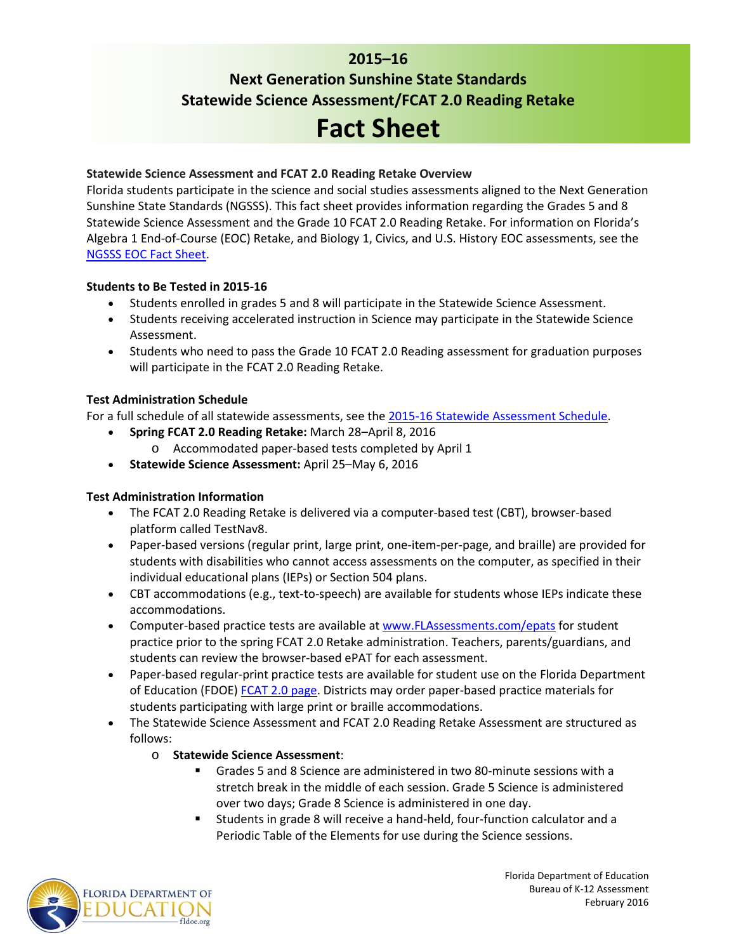# **2015–16 Next Generation Sunshine State Standards Statewide Science Assessment/FCAT 2.0 Reading Retake Fact Sheet**

# **Statewide Science Assessment and FCAT 2.0 Reading Retake Overview**

Florida students participate in the science and social studies assessments aligned to the Next Generation Sunshine State Standards (NGSSS). This fact sheet provides information regarding the Grades 5 and 8 Statewide Science Assessment and the Grade 10 FCAT 2.0 Reading Retake. For information on Florida's Algebra 1 End-of-Course (EOC) Retake, and Biology 1, Civics, and U.S. History EOC assessments, see the [NGSSS EOC Fact Sheet.](http://www.fldoe.org/core/fileparse.php/5662/urlt/1516NGSSSEOCAFS.pdf)

#### **Students to Be Tested in 2015-16**

- Students enrolled in grades 5 and 8 will participate in the Statewide Science Assessment.
- Students receiving accelerated instruction in Science may participate in the Statewide Science Assessment.
- Students who need to pass the Grade 10 FCAT 2.0 Reading assessment for graduation purposes will participate in the FCAT 2.0 Reading Retake.

#### **Test Administration Schedule**

For a full schedule of all statewide assessments, see the [2015-16 Statewide Assessment Schedule.](http://info.fldoe.org/docushare/dsweb/Get/Document-7147/dps-2014-118a.pdf)

- **Spring FCAT 2.0 Reading Retake:** March 28–April 8, 2016
	- o Accommodated paper-based tests completed by April 1
- **Statewide Science Assessment:** April 25–May 6, 2016

#### **Test Administration Information**

- The FCAT 2.0 Reading Retake is delivered via a computer-based test (CBT), browser-based platform called TestNav8.
- Paper-based versions (regular print, large print, one-item-per-page, and braille) are provided for students with disabilities who cannot access assessments on the computer, as specified in their individual educational plans (IEPs) or Section 504 plans.
- CBT accommodations (e.g., text-to-speech) are available for students whose IEPs indicate these accommodations.
- Computer-based practice tests are available at [www.FLAssessments.com/epats](http://www.flassessments.com/epats) for student practice prior to the spring FCAT 2.0 Retake administration. Teachers, parents/guardians, and students can review the browser-based ePAT for each assessment.
- Paper-based regular-print practice tests are available for student use on the Florida Department of Education (FDOE) [FCAT 2.0 page.](http://www.fldoe.org/accountability/assessments/k-12-student-assessment/fcat2.stml) Districts may order paper-based practice materials for students participating with large print or braille accommodations.
- The Statewide Science Assessment and FCAT 2.0 Reading Retake Assessment are structured as follows:
	- o **Statewide Science Assessment**:
		- Grades 5 and 8 Science are administered in two 80-minute sessions with a stretch break in the middle of each session. Grade 5 Science is administered over two days; Grade 8 Science is administered in one day.
		- Students in grade 8 will receive a hand-held, four-function calculator and a Periodic Table of the Elements for use during the Science sessions.



Florida Department of Education Bureau of K-12 Assessment February 2016